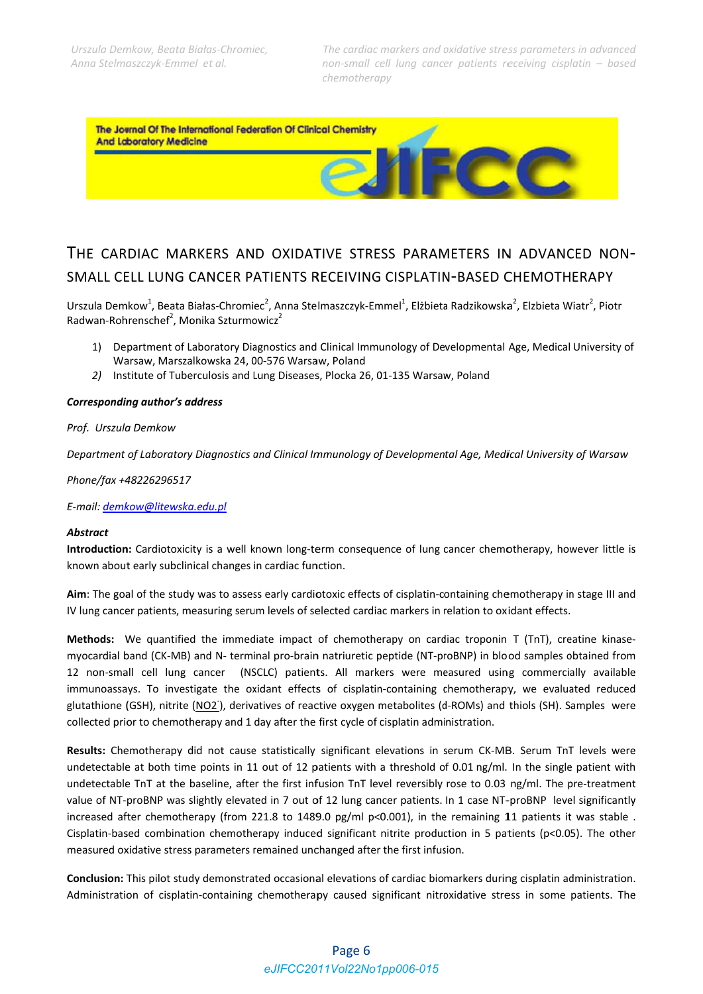ECC

The Journal Of The International Federation Of Clinical Chemistry **And Laboratory Medicine** 

# THE CARDIAC MARKERS AND OXIDATIVE STRESS PARAMETERS IN ADVANCED NON-SMALL CELL LUNG CANCER PATIENTS RECEIVING CISPLATIN-BASED CHEMOTHERAPY

Urszula Demkow<sup>1</sup>, Beata Białas-Chromiec<sup>2</sup>, Anna Stelmaszczyk-Emmel<sup>1</sup>, Elżbieta Radzikowska<sup>2</sup>, Elzbieta Wiatr<sup>2</sup>, Piotr Radwan-Rohrenschef<sup>2</sup>, Monika Szturmowicz<sup>2</sup>

- 1) Department of Laboratory Diagnostics and Clinical Immunology of Developmental Age, Medical University of Warsaw, Marszalkowska 24, 00-576 Warsaw, Poland
- 2) Institute of Tuberculosis and Lung Diseases, Plocka 26, 01-135 Warsaw, Poland

#### **Corresponding author's address**

#### Prof. Urszula Demkow

Department of Laboratory Diagnostics and Clinical Immunology of Developmental Age, Medical University of Warsaw

Phone/fax +48226296517

E-mail: demkow@litewska.edu.pl

#### **Abstract**

Introduction: Cardiotoxicity is a well known long-term consequence of lung cancer chemotherapy, however little is known about early subclinical changes in cardiac function.

Aim: The goal of the study was to assess early cardiotoxic effects of cisplatin-containing chemotherapy in stage III and IV lung cancer patients, measuring serum levels of selected cardiac markers in relation to oxidant effects.

Methods: We quantified the immediate impact of chemotherapy on cardiac troponin T (TnT), creatine kinasemyocardial band (CK-MB) and N- terminal pro-brain natriuretic peptide (NT-proBNP) in blood samples obtained from 12 non-small cell lung cancer (NSCLC) patients. All markers were measured using commercially available immunoassays. To investigate the oxidant effects of cisplatin-containing chemotherapy, we evaluated reduced glutathione (GSH), nitrite (NO2), derivatives of reactive oxygen metabolites (d-ROMs) and thiols (SH). Samples were collected prior to chemotherapy and 1 day after the first cycle of cisplatin administration.

Results: Chemotherapy did not cause statistically significant elevations in serum CK-MB. Serum TnT levels were undetectable at both time points in 11 out of 12 patients with a threshold of 0.01 ng/ml. In the single patient with undetectable TnT at the baseline, after the first infusion TnT level reversibly rose to 0.03 ng/ml. The pre-treatment value of NT-proBNP was slightly elevated in 7 out of 12 lung cancer patients. In 1 case NT-proBNP level significantly increased after chemotherapy (from 221.8 to 1489.0 pg/ml p<0.001), in the remaining 11 patients it was stable. Cisplatin-based combination chemotherapy induced significant nitrite production in 5 patients ( $p<0.05$ ). The other measured oxidative stress parameters remained unchanged after the first infusion.

Conclusion: This pilot study demonstrated occasional elevations of cardiac biomarkers during cisplatin administration. Administration of cisplatin-containing chemotherapy caused significant nitroxidative stress in some patients. The

# Page 6 eJIFCC2011Vol22No1pp006-015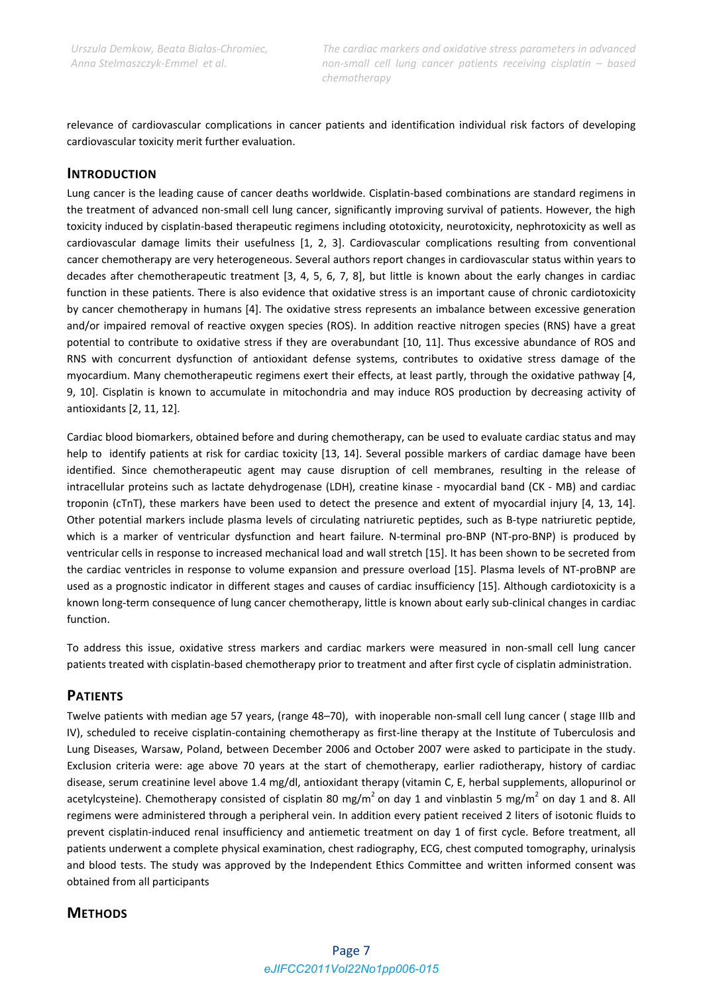relevance of cardiovascular complications in cancer patients and identification individual risk factors of developing cardiovascular toxicity merit further evaluation.

## **INTRODUCTION**

Lung cancer is the leading cause of cancer deaths worldwide. Cisplatin‐based combinations are standard regimens in the treatment of advanced non-small cell lung cancer, significantly improving survival of patients. However, the high toxicity induced by cisplatin‐based therapeutic regimens including ototoxicity, neurotoxicity, nephrotoxicity as well as cardiovascular damage limits their usefulness [1, 2, 3]. Cardiovascular complications resulting from conventional cancer chemotherapy are very heterogeneous. Several authors report changes in cardiovascular status within years to decades after chemotherapeutic treatment [3, 4, 5, 6, 7, 8], but little is known about the early changes in cardiac function in these patients. There is also evidence that oxidative stress is an important cause of chronic cardiotoxicity by cancer chemotherapy in humans [4]. The oxidative stress represents an imbalance between excessive generation and/or impaired removal of reactive oxygen species (ROS). In addition reactive nitrogen species (RNS) have a great potential to contribute to oxidative stress if they are overabundant [10, 11]. Thus excessive abundance of ROS and RNS with concurrent dysfunction of antioxidant defense systems, contributes to oxidative stress damage of the myocardium. Many chemotherapeutic regimens exert their effects, at least partly, through the oxidative pathway [4, 9, 10]. Cisplatin is known to accumulate in mitochondria and may induce ROS production by decreasing activity of antioxidants [2, 11, 12].

Cardiac blood biomarkers, obtained before and during chemotherapy, can be used to evaluate cardiac status and may help to identify patients at risk for cardiac toxicity [13, 14]. Several possible markers of cardiac damage have been identified. Since chemotherapeutic agent may cause disruption of cell membranes, resulting in the release of intracellular proteins such as lactate dehydrogenase (LDH), creatine kinase - myocardial band (CK - MB) and cardiac troponin (cTnT), these markers have been used to detect the presence and extent of myocardial injury [4, 13, 14]. Other potential markers include plasma levels of circulating natriuretic peptides, such as B‐type natriuretic peptide, which is a marker of ventricular dysfunction and heart failure. N-terminal pro-BNP (NT-pro-BNP) is produced by ventricular cells in response to increased mechanical load and wall stretch [15]. It has been shown to be secreted from the cardiac ventricles in response to volume expansion and pressure overload [15]. Plasma levels of NT-proBNP are used as a prognostic indicator in different stages and causes of cardiac insufficiency [15]. Although cardiotoxicity is a known long‐term consequence of lung cancer chemotherapy, little is known about early sub‐clinical changes in cardiac function.

To address this issue, oxidative stress markers and cardiac markers were measured in non‐small cell lung cancer patients treated with cisplatin‐based chemotherapy prior to treatment and after first cycle of cisplatin administration.

## **PATIENTS**

Twelve patients with median age 57 years, (range 48–70), with inoperable non-small cell lung cancer (stage IIIb and IV), scheduled to receive cisplatin‐containing chemotherapy as first‐line therapy at the Institute of Tuberculosis and Lung Diseases, Warsaw, Poland, between December 2006 and October 2007 were asked to participate in the study. Exclusion criteria were: age above 70 years at the start of chemotherapy, earlier radiotherapy, history of cardiac disease, serum creatinine level above 1.4 mg/dl, antioxidant therapy (vitamin C, E, herbal supplements, allopurinol or acetylcysteine). Chemotherapy consisted of cisplatin 80 mg/m<sup>2</sup> on day 1 and vinblastin 5 mg/m<sup>2</sup> on day 1 and 8. All regimens were administered through a peripheral vein. In addition every patient received 2 liters of isotonic fluids to prevent cisplatin-induced renal insufficiency and antiemetic treatment on day 1 of first cycle. Before treatment, all patients underwent a complete physical examination, chest radiography, ECG, chest computed tomography, urinalysis and blood tests. The study was approved by the Independent Ethics Committee and written informed consent was obtained from all participants

## **METHODS**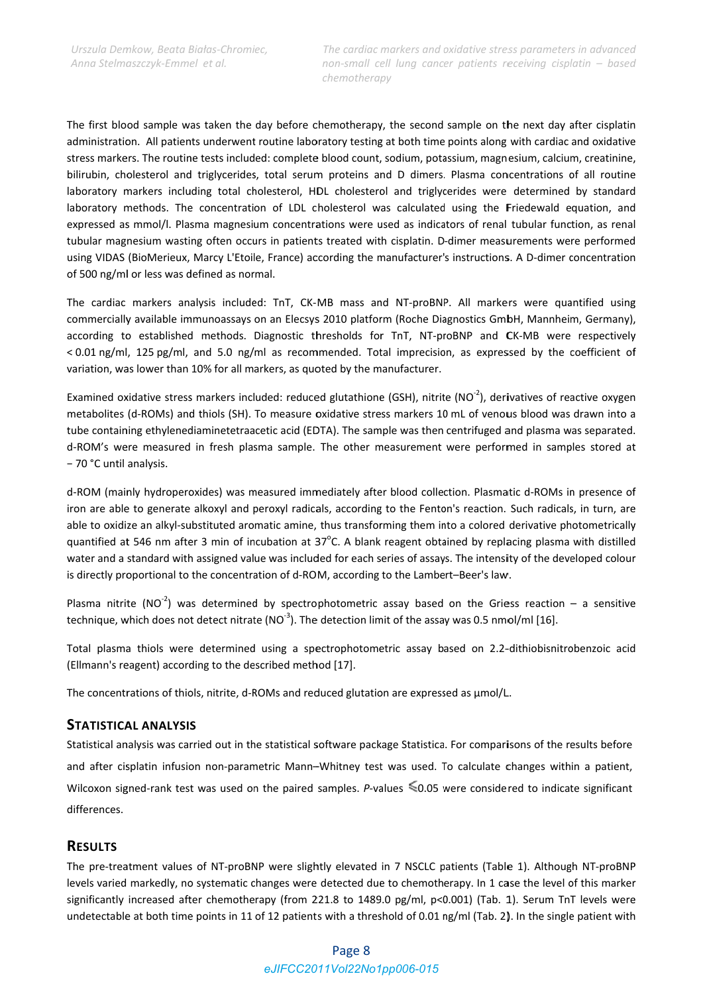The first blood sample was taken the day before chemotherapy, the second sample on the next day after cisplatin administration. All patients underwent routine laboratory testing at both time points along with cardiac and oxidative stress markers. The routine tests included: complete blood count, sodium, potassium, magnesium, calcium, creatinine, bilirubin, cholesterol and triglycerides, total serum proteins and D dimers. Plasma concentrations of all routine laboratory markers including total cholesterol, HDL cholesterol and triglycerides were determined by standard laboratory methods. The concentration of LDL cholesterol was calculated using the Friedewald equation, and expressed as mmol/l. Plasma magnesium concentrations were used as indicators of renal tubular function, as renal tubular magnesium wasting often occurs in patients treated with cisplatin. D-dimer measurements were performed using VIDAS (BioMerieux, Marcy L'Etoile, France) according the manufacturer's instructions. A D-dimer concentration of 500 ng/ml or less was defined as normal.

The cardiac markers analysis included: TnT, CK-MB mass and NT-proBNP. All markers were quantified using commercially available immunoassays on an Elecsys 2010 platform (Roche Diagnostics GmbH, Mannheim, Germany), according to established methods. Diagnostic thresholds for TnT, NT-proBNP and CK-MB were respectively < 0.01 ng/ml, 125 pg/ml, and 5.0 ng/ml as recommended. Total imprecision, as expressed by the coefficient of variation, was lower than 10% for all markers, as quoted by the manufacturer.

Examined oxidative stress markers included: reduced glutathione (GSH), nitrite (NO<sup>2</sup>), derivatives of reactive oxygen metabolites (d-ROMs) and thiols (SH). To measure oxidative stress markers 10 mL of venous blood was drawn into a tube containing ethylenediaminetetraacetic acid (EDTA). The sample was then centrifuged and plasma was separated. d-ROM's were measured in fresh plasma sample. The other measurement were performed in samples stored at - 70 °C until analysis.

d-ROM (mainly hydroperoxides) was measured immediately after blood collection. Plasmatic d-ROMs in presence of iron are able to generate alkoxyl and peroxyl radicals, according to the Fenton's reaction. Such radicals, in turn, are able to oxidize an alkyl-substituted aromatic amine, thus transforming them into a colored derivative photometrically quantified at 546 nm after 3 min of incubation at  $37^{\circ}$ C. A blank reagent obtained by replacing plasma with distilled water and a standard with assigned value was included for each series of assays. The intensity of the developed colour is directly proportional to the concentration of d-ROM, according to the Lambert-Beer's law.

Plasma nitrite (NO<sup>-2</sup>) was determined by spectrophotometric assay based on the Griess reaction – a sensitive technique, which does not detect nitrate ( $NO^{-3}$ ). The detection limit of the assay was 0.5 nmol/ml [16].

Total plasma thiols were determined using a spectrophotometric assay based on 2.2-dithiobisnitrobenzoic acid (Ellmann's reagent) according to the described method [17].

The concentrations of thiols, nitrite, d-ROMs and reduced glutation are expressed as µmol/L.

## **STATISTICAL ANALYSIS**

Statistical analysis was carried out in the statistical software package Statistica. For comparisons of the results before and after cisplatin infusion non-parametric Mann-Whitney test was used. To calculate changes within a patient, Wilcoxon signed-rank test was used on the paired samples. P-values  $\leq 0.05$  were considered to indicate significant differences

## **RESULTS**

The pre-treatment values of NT-proBNP were slightly elevated in 7 NSCLC patients (Table 1). Although NT-proBNP levels varied markedly, no systematic changes were detected due to chemotherapy. In 1 case the level of this marker significantly increased after chemotherapy (from 221.8 to 1489.0 pg/ml, p<0.001) (Tab. 1). Serum TnT levels were undetectable at both time points in 11 of 12 patients with a threshold of 0.01 ng/ml (Tab. 2). In the single patient with

# Page 8 eJIFCC2011Vol22No1pp006-015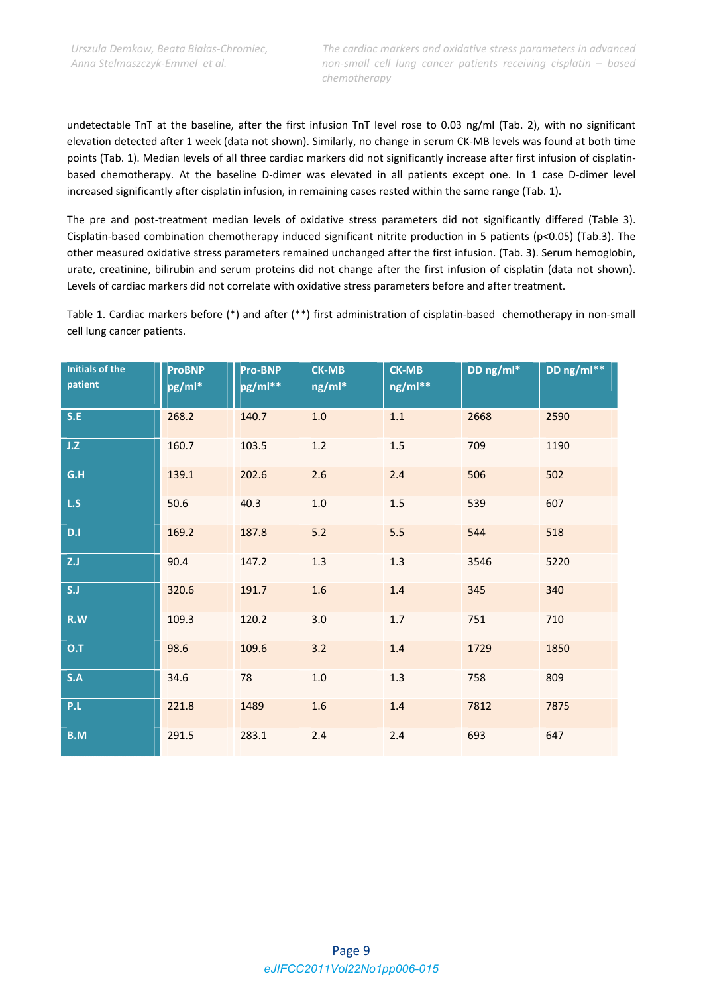undetectable TnT at the baseline, after the first infusion TnT level rose to 0.03 ng/ml (Tab. 2), with no significant elevation detected after 1 week (data not shown). Similarly, no change in serum CK‐MB levels was found at both time points (Tab. 1). Median levels of all three cardiac markers did not significantly increase after first infusion of cisplatinbased chemotherapy. At the baseline D‐dimer was elevated in all patients except one. In 1 case D‐dimer level increased significantly after cisplatin infusion, in remaining cases rested within the same range (Tab. 1).

The pre and post-treatment median levels of oxidative stress parameters did not significantly differed (Table 3). Cisplatin‐based combination chemotherapy induced significant nitrite production in 5 patients (p<0.05) (Tab.3). The other measured oxidative stress parameters remained unchanged after the first infusion. (Tab. 3). Serum hemoglobin, urate, creatinine, bilirubin and serum proteins did not change after the first infusion of cisplatin (data not shown). Levels of cardiac markers did not correlate with oxidative stress parameters before and after treatment.

Table 1. Cardiac markers before (\*) and after (\*\*) first administration of cisplatin‐based chemotherapy in non‐small cell lung cancer patients.

| <b>Initials of the</b><br>patient | <b>ProBNP</b><br>pg/ml* | <b>Pro-BNP</b><br>pg/ml** | <b>CK-MB</b><br>ng/ml* | <b>CK-MB</b><br>ng/ml** | DD ng/ml* | DD ng/ml** |
|-----------------------------------|-------------------------|---------------------------|------------------------|-------------------------|-----------|------------|
| S.E                               | 268.2                   | 140.7                     | $1.0\,$                | $1.1\,$                 | 2668      | 2590       |
| J.Z                               | 160.7                   | 103.5                     | $1.2\,$                | $1.5$                   | 709       | 1190       |
| G.H                               | 139.1                   | 202.6                     | 2.6                    | 2.4                     | 506       | 502        |
| L.S                               | 50.6                    | 40.3                      | $1.0\,$                | $1.5\,$                 | 539       | 607        |
| D.I                               | 169.2                   | 187.8                     | $5.2$                  | 5.5                     | 544       | 518        |
| Z.J                               | 90.4                    | 147.2                     | 1.3                    | 1.3                     | 3546      | 5220       |
| S.J                               | 320.6                   | 191.7                     | 1.6                    | 1.4                     | 345       | 340        |
| R.W                               | 109.3                   | 120.2                     | 3.0                    | 1.7                     | 751       | 710        |
| 0.7                               | 98.6                    | 109.6                     | 3.2                    | $1.4\,$                 | 1729      | 1850       |
| S.A                               | 34.6                    | 78                        | $1.0\,$                | 1.3                     | 758       | 809        |
| P.L                               | 221.8                   | 1489                      | 1.6                    | 1.4                     | 7812      | 7875       |
| B.M                               | 291.5                   | 283.1                     | $2.4$                  | 2.4                     | 693       | 647        |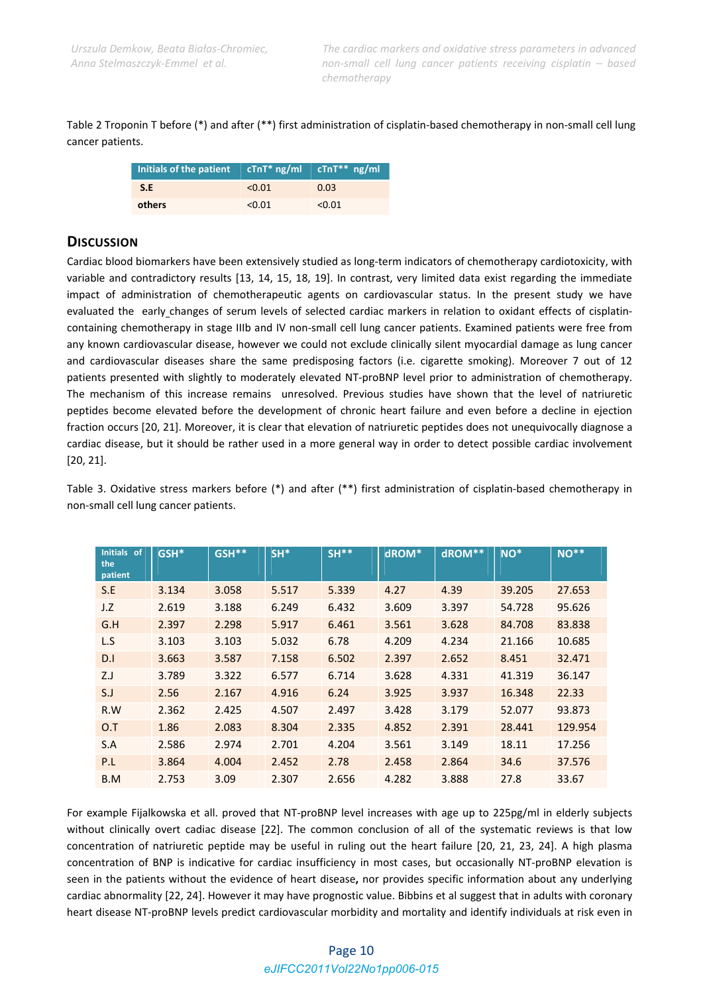Table 2 Troponin T before (\*) and after (\*\*) first administration of cisplatin‐based chemotherapy in non‐small cell lung cancer patients.

| Initials of the patient $\int cTnT^*$ ng/ml $\int cTnT^{**}$ ng/ml |        |        |
|--------------------------------------------------------------------|--------|--------|
| SLE                                                                | < 0.01 | 0.03   |
| others                                                             | < 0.01 | < 0.01 |

# **DISCUSSION**

Cardiac blood biomarkers have been extensively studied as long-term indicators of chemotherapy cardiotoxicity, with variable and contradictory results [13, 14, 15, 18, 19]. In contrast, very limited data exist regarding the immediate impact of administration of chemotherapeutic agents on cardiovascular status. In the present study we have evaluated the early changes of serum levels of selected cardiac markers in relation to oxidant effects of cisplatincontaining chemotherapy in stage IIIb and IV non-small cell lung cancer patients. Examined patients were free from any known cardiovascular disease, however we could not exclude clinically silent myocardial damage as lung cancer and cardiovascular diseases share the same predisposing factors (i.e. cigarette smoking). Moreover 7 out of 12 patients presented with slightly to moderately elevated NT‐proBNP level prior to administration of chemotherapy. The mechanism of this increase remains unresolved. Previous studies have shown that the level of natriuretic peptides become elevated before the development of chronic heart failure and even before a decline in ejection fraction occurs [20, 21]. Moreover, it is clear that elevation of natriuretic peptides does not unequivocally diagnose a cardiac disease, but it should be rather used in a more general way in order to detect possible cardiac involvement [20, 21].

Table 3. Oxidative stress markers before (\*) and after (\*\*) first administration of cisplatin‐based chemotherapy in non‐small cell lung cancer patients.

| Initials of<br>the<br>patient | GSH <sup>*</sup> | GSH** | $SH*$ | $SH**$ | dROM* | dROM** | $NO^*$ | <b>NO**</b> |
|-------------------------------|------------------|-------|-------|--------|-------|--------|--------|-------------|
| S.E                           | 3.134            | 3.058 | 5.517 | 5.339  | 4.27  | 4.39   | 39.205 | 27.653      |
| J.Z                           | 2.619            | 3.188 | 6.249 | 6.432  | 3.609 | 3.397  | 54.728 | 95.626      |
| G.H                           | 2.397            | 2.298 | 5.917 | 6.461  | 3.561 | 3.628  | 84.708 | 83.838      |
| L.S                           | 3.103            | 3.103 | 5.032 | 6.78   | 4.209 | 4.234  | 21.166 | 10.685      |
| D.1                           | 3.663            | 3.587 | 7.158 | 6.502  | 2.397 | 2.652  | 8.451  | 32.471      |
| ZJ                            | 3.789            | 3.322 | 6.577 | 6.714  | 3.628 | 4.331  | 41.319 | 36.147      |
| S.J                           | 2.56             | 2.167 | 4.916 | 6.24   | 3.925 | 3.937  | 16.348 | 22.33       |
| R.W                           | 2.362            | 2.425 | 4.507 | 2.497  | 3.428 | 3.179  | 52.077 | 93.873      |
| O.T                           | 1.86             | 2.083 | 8.304 | 2.335  | 4.852 | 2.391  | 28.441 | 129.954     |
| S.A                           | 2.586            | 2.974 | 2.701 | 4.204  | 3.561 | 3.149  | 18.11  | 17.256      |
| P.L                           | 3.864            | 4.004 | 2.452 | 2.78   | 2.458 | 2.864  | 34.6   | 37.576      |
| B.M                           | 2.753            | 3.09  | 2.307 | 2.656  | 4.282 | 3.888  | 27.8   | 33.67       |

For example Fijalkowska et all. proved that NT-proBNP level increases with age up to 225pg/ml in elderly subjects without clinically overt cadiac disease [22]. The common conclusion of all of the systematic reviews is that low concentration of natriuretic peptide may be useful in ruling out the heart failure [20, 21, 23, 24]. A high plasma concentration of BNP is indicative for cardiac insufficiency in most cases, but occasionally NT‐proBNP elevation is seen in the patients without the evidence of heart disease**,** nor provides specific information about any underlying cardiac abnormality [22, 24]. However it may have prognostic value. Bibbins et al suggest that in adults with coronary heart disease NT‐proBNP levels predict cardiovascular morbidity and mortality and identify individuals at risk even in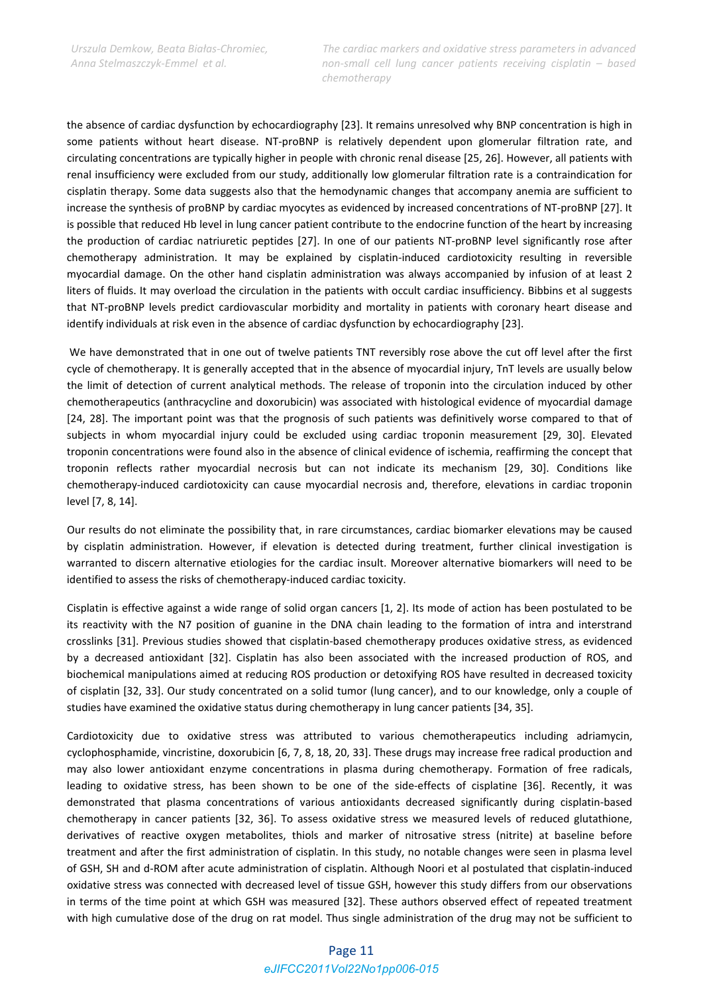the absence of cardiac dysfunction by echocardiography [23]. It remains unresolved why BNP concentration is high in some patients without heart disease. NT-proBNP is relatively dependent upon glomerular filtration rate, and circulating concentrations are typically higher in people with chronic renal disease [25, 26]. However, all patients with renal insufficiency were excluded from our study, additionally low glomerular filtration rate is a contraindication for cisplatin therapy. Some data suggests also that the hemodynamic changes that accompany anemia are sufficient to increase the synthesis of proBNP by cardiac myocytes as evidenced by increased concentrations of NT‐proBNP [27]. It is possible that reduced Hb level in lung cancer patient contribute to the endocrine function of the heart by increasing the production of cardiac natriuretic peptides [27]. In one of our patients NT‐proBNP level significantly rose after chemotherapy administration. It may be explained by cisplatin-induced cardiotoxicity resulting in reversible myocardial damage. On the other hand cisplatin administration was always accompanied by infusion of at least 2 liters of fluids. It may overload the circulation in the patients with occult cardiac insufficiency. Bibbins et al suggests that NT‐proBNP levels predict cardiovascular morbidity and mortality in patients with coronary heart disease and identify individuals at risk even in the absence of cardiac dysfunction by echocardiography [23].

We have demonstrated that in one out of twelve patients TNT reversibly rose above the cut off level after the first cycle of chemotherapy. It is generally accepted that in the absence of myocardial injury, TnT levels are usually below the limit of detection of current analytical methods. The release of troponin into the circulation induced by other chemotherapeutics (anthracycline and doxorubicin) was associated with histological evidence of myocardial damage [24, 28]. The important point was that the prognosis of such patients was definitively worse compared to that of subjects in whom myocardial injury could be excluded using cardiac troponin measurement [29, 30]. Elevated troponin concentrations were found also in the absence of clinical evidence of ischemia, reaffirming the concept that troponin reflects rather myocardial necrosis but can not indicate its mechanism [29, 30]. Conditions like chemotherapy‐induced cardiotoxicity can cause myocardial necrosis and, therefore, elevations in cardiac troponin level [7, 8, 14].

Our results do not eliminate the possibility that, in rare circumstances, cardiac biomarker elevations may be caused by cisplatin administration. However, if elevation is detected during treatment, further clinical investigation is warranted to discern alternative etiologies for the cardiac insult. Moreover alternative biomarkers will need to be identified to assess the risks of chemotherapy-induced cardiac toxicity.

Cisplatin is effective against a wide range of solid organ cancers [1, 2]. Its mode of action has been postulated to be its reactivity with the N7 position of guanine in the DNA chain leading to the formation of intra and interstrand crosslinks [31]. Previous studies showed that cisplatin‐based chemotherapy produces oxidative stress, as evidenced by a decreased antioxidant [32]. Cisplatin has also been associated with the increased production of ROS, and biochemical manipulations aimed at reducing ROS production or detoxifying ROS have resulted in decreased toxicity of cisplatin [32, 33]. Our study concentrated on a solid tumor (lung cancer), and to our knowledge, only a couple of studies have examined the oxidative status during chemotherapy in lung cancer patients [34, 35].

Cardiotoxicity due to oxidative stress was attributed to various chemotherapeutics including adriamycin, cyclophosphamide, vincristine, doxorubicin [6, 7, 8, 18, 20, 33]. These drugs may increase free radical production and may also lower antioxidant enzyme concentrations in plasma during chemotherapy. Formation of free radicals, leading to oxidative stress, has been shown to be one of the side‐effects of cisplatine [36]. Recently, it was demonstrated that plasma concentrations of various antioxidants decreased significantly during cisplatin‐based chemotherapy in cancer patients [32, 36]. To assess oxidative stress we measured levels of reduced glutathione, derivatives of reactive oxygen metabolites, thiols and marker of nitrosative stress (nitrite) at baseline before treatment and after the first administration of cisplatin. In this study, no notable changes were seen in plasma level of GSH, SH and d‐ROM after acute administration of cisplatin. Although Noori et al postulated that cisplatin‐induced oxidative stress was connected with decreased level of tissue GSH, however this study differs from our observations in terms of the time point at which GSH was measured [32]. These authors observed effect of repeated treatment with high cumulative dose of the drug on rat model. Thus single administration of the drug may not be sufficient to

## Page 11 *eJIFCC2011Vol22No1pp006-015*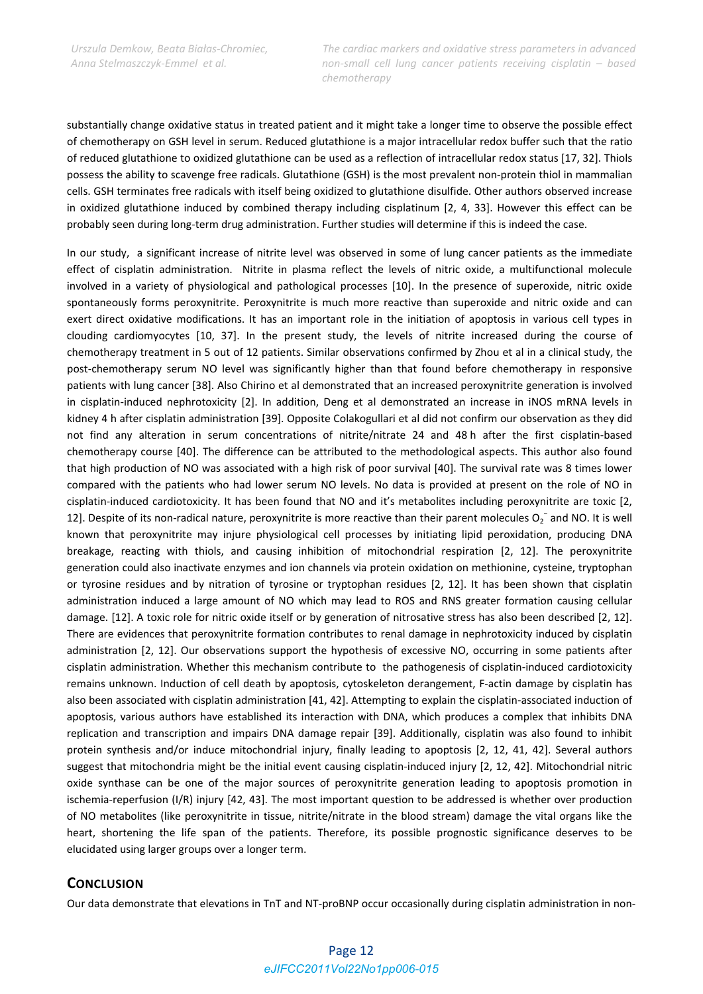substantially change oxidative status in treated patient and it might take a longer time to observe the possible effect of chemotherapy on GSH level in serum. Reduced glutathione is a major intracellular redox buffer such that the ratio of reduced glutathione to oxidized glutathione can be used as a reflection of intracellular redox status [17, 32]. Thiols possess the ability to scavenge free radicals. Glutathione (GSH) is the most prevalent non‐protein thiol in mammalian cells. GSH terminates free radicals with itself being oxidized to glutathione disulfide. Other authors observed increase in oxidized glutathione induced by combined therapy including cisplatinum [2, 4, 33]. However this effect can be probably seen during long‐term drug administration. Further studies will determine if this is indeed the case.

In our study, a significant increase of nitrite level was observed in some of lung cancer patients as the immediate effect of cisplatin administration. Nitrite in plasma reflect the levels of nitric oxide, a multifunctional molecule involved in a variety of physiological and pathological processes [10]. In the presence of superoxide, nitric oxide spontaneously forms peroxynitrite. Peroxynitrite is much more reactive than superoxide and nitric oxide and can exert direct oxidative modifications. It has an important role in the initiation of apoptosis in various cell types in clouding cardiomyocytes [10, 37]. In the present study, the levels of nitrite increased during the course of chemotherapy treatment in 5 out of 12 patients. Similar observations confirmed by Zhou et al in a clinical study, the post-chemotherapy serum NO level was significantly higher than that found before chemotherapy in responsive patients with lung cancer [38]. Also Chirino et al demonstrated that an increased peroxynitrite generation is involved in cisplatin‐induced nephrotoxicity [2]. In addition, Deng et al demonstrated an increase in iNOS mRNA levels in kidney 4 h after cisplatin administration [39]. Opposite Colakogullari et al did not confirm our observation as they did not find any alteration in serum concentrations of nitrite/nitrate 24 and 48 h after the first cisplatin‐based chemotherapy course [40]. The difference can be attributed to the methodological aspects. This author also found that high production of NO was associated with a high risk of poor survival [40]. The survival rate was 8 times lower compared with the patients who had lower serum NO levels. No data is provided at present on the role of NO in cisplatin‐induced cardiotoxicity. It has been found that NO and it's metabolites including peroxynitrite are toxic [2, 12]. Despite of its non-radical nature, peroxynitrite is more reactive than their parent molecules  $O_2^-$  and NO. It is well known that peroxynitrite may injure physiological cell processes by initiating lipid peroxidation, producing DNA breakage, reacting with thiols, and causing inhibition of mitochondrial respiration [2, 12]. The peroxynitrite generation could also inactivate enzymes and ion channels via protein oxidation on methionine, cysteine, tryptophan or tyrosine residues and by nitration of tyrosine or tryptophan residues [2, 12]. It has been shown that cisplatin administration induced a large amount of NO which may lead to ROS and RNS greater formation causing cellular damage. [12]. A toxic role for nitric oxide itself or by generation of nitrosative stress has also been described [2, 12]. There are evidences that peroxynitrite formation contributes to renal damage in nephrotoxicity induced by cisplatin administration [2, 12]. Our observations support the hypothesis of excessive NO, occurring in some patients after cisplatin administration. Whether this mechanism contribute to the pathogenesis of cisplatin-induced cardiotoxicity remains unknown. Induction of cell death by apoptosis, cytoskeleton derangement, F‐actin damage by cisplatin has also been associated with cisplatin administration [41, 42]. Attempting to explain the cisplatin‐associated induction of apoptosis, various authors have established its interaction with DNA, which produces a complex that inhibits DNA replication and transcription and impairs DNA damage repair [39]. Additionally, cisplatin was also found to inhibit protein synthesis and/or induce mitochondrial injury, finally leading to apoptosis [2, 12, 41, 42]. Several authors suggest that mitochondria might be the initial event causing cisplatin-induced injury [2, 12, 42]. Mitochondrial nitric oxide synthase can be one of the major sources of peroxynitrite generation leading to apoptosis promotion in ischemia‐reperfusion (I/R) injury [42, 43]. The most important question to be addressed is whether over production of NO metabolites (like peroxynitrite in tissue, nitrite/nitrate in the blood stream) damage the vital organs like the heart, shortening the life span of the patients. Therefore, its possible prognostic significance deserves to be elucidated using larger groups over a longer term.

## **CONCLUSION**

Our data demonstrate that elevations in TnT and NT-proBNP occur occasionally during cisplatin administration in non-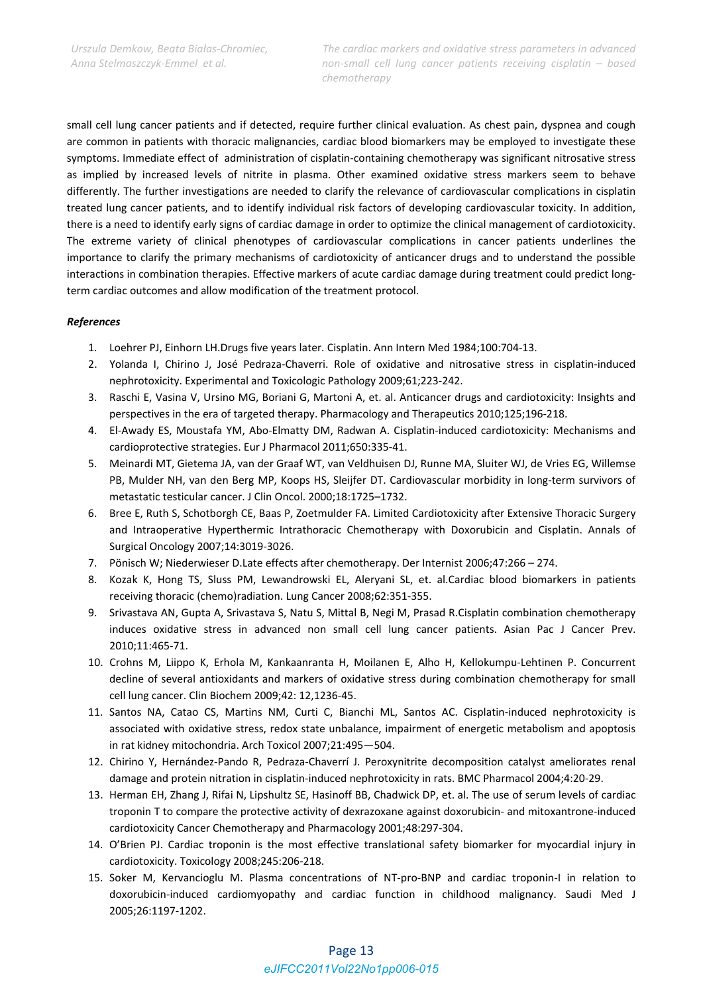small cell lung cancer patients and if detected, require further clinical evaluation. As chest pain, dyspnea and cough are common in patients with thoracic malignancies, cardiac blood biomarkers may be employed to investigate these symptoms. Immediate effect of administration of cisplatin‐containing chemotherapy was significant nitrosative stress as implied by increased levels of nitrite in plasma. Other examined oxidative stress markers seem to behave differently. The further investigations are needed to clarify the relevance of cardiovascular complications in cisplatin treated lung cancer patients, and to identify individual risk factors of developing cardiovascular toxicity. In addition, there is a need to identify early signs of cardiac damage in order to optimize the clinical management of cardiotoxicity. The extreme variety of clinical phenotypes of cardiovascular complications in cancer patients underlines the importance to clarify the primary mechanisms of cardiotoxicity of anticancer drugs and to understand the possible interactions in combination therapies. Effective markers of acute cardiac damage during treatment could predict longterm cardiac outcomes and allow modification of the treatment protocol.

## *References*

- 1. Loehrer PJ, Einhorn LH.Drugs five years later. Cisplatin. Ann Intern Med 1984;100:704‐13.
- 2. Yolanda I, Chirino J, José Pedraza‐Chaverri. Role of oxidative and nitrosative stress in cisplatin‐induced nephrotoxicity. Experimental and Toxicologic Pathology 2009;61;223‐242.
- 3. Raschi E, Vasina V, Ursino MG, Boriani G, Martoni A, et. al. Anticancer drugs and cardiotoxicity: Insights and perspectives in the era of targeted therapy. Pharmacology and Therapeutics 2010;125;196‐218.
- 4. El‐Awady ES, Moustafa YM, Abo‐Elmatty DM, Radwan A. Cisplatin‐induced cardiotoxicity: Mechanisms and cardioprotective strategies. Eur J Pharmacol 2011;650:335‐41.
- 5. Meinardi MT, Gietema JA, van der Graaf WT, van Veldhuisen DJ, Runne MA, Sluiter WJ, de Vries EG, Willemse PB, Mulder NH, van den Berg MP, Koops HS, Sleijfer DT. Cardiovascular morbidity in long‐term survivors of metastatic testicular cancer. J Clin Oncol. 2000;18:1725–1732.
- 6. Bree E, Ruth S, Schotborgh CE, Baas P, Zoetmulder FA. Limited Cardiotoxicity after Extensive Thoracic Surgery and Intraoperative Hyperthermic Intrathoracic Chemotherapy with Doxorubicin and Cisplatin. Annals of Surgical Oncology 2007;14:3019‐3026.
- 7. Pönisch W; Niederwieser D.Late effects after chemotherapy. Der Internist 2006;47:266 274.
- 8. Kozak K, Hong TS, Sluss PM, Lewandrowski EL, Aleryani SL, et. al.Cardiac blood biomarkers in patients receiving thoracic (chemo)radiation. Lung Cancer 2008;62:351‐355.
- 9. Srivastava AN, Gupta A, Srivastava S, Natu S, Mittal B, Negi M, Prasad R.Cisplatin combination chemotherapy induces oxidative stress in advanced non small cell lung cancer patients. Asian Pac J Cancer Prev. 2010;11:465‐71.
- 10. Crohns M, Liippo K, Erhola M, Kankaanranta H, Moilanen E, Alho H, Kellokumpu‐Lehtinen P. Concurrent decline of several antioxidants and markers of oxidative stress during combination chemotherapy for small cell lung cancer. Clin Biochem 2009;42: 12,1236‐45.
- 11. Santos NA, Catao CS, Martins NM, Curti C, Bianchi ML, Santos AC. Cisplatin-induced nephrotoxicity is associated with oxidative stress, redox state unbalance, impairment of energetic metabolism and apoptosis in rat kidney mitochondria. Arch Toxicol 2007;21:495—504.
- 12. Chirino Y, Hernández‐Pando R, Pedraza‐Chaverrí J. Peroxynitrite decomposition catalyst ameliorates renal damage and protein nitration in cisplatin‐induced nephrotoxicity in rats. BMC Pharmacol 2004;4:20‐29.
- 13. Herman EH, Zhang J, Rifai N, Lipshultz SE, Hasinoff BB, Chadwick DP, et. al. The use of serum levels of cardiac troponin T to compare the protective activity of dexrazoxane against doxorubicin‐ and mitoxantrone‐induced cardiotoxicity Cancer Chemotherapy and Pharmacology 2001;48:297‐304.
- 14. O'Brien PJ. Cardiac troponin is the most effective translational safety biomarker for myocardial injury in cardiotoxicity. Toxicology 2008;245:206‐218.
- 15. Soker M, Kervancioglu M. Plasma concentrations of NT-pro-BNP and cardiac troponin-I in relation to doxorubicin‐induced cardiomyopathy and cardiac function in childhood malignancy. Saudi Med J 2005;26:1197‐1202.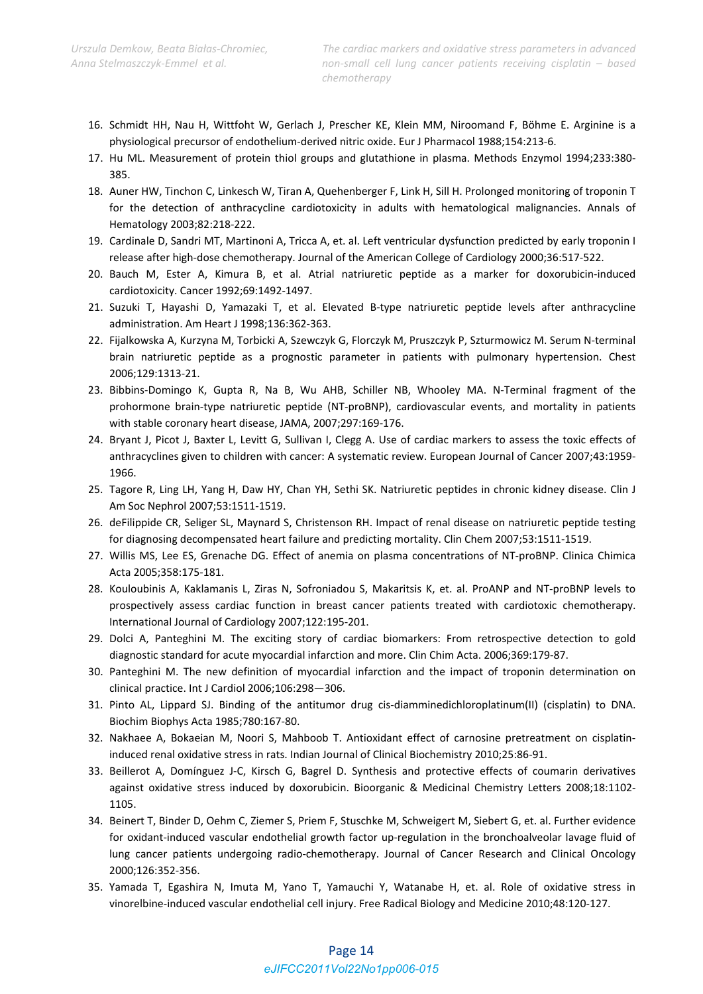- 16. Schmidt HH, Nau H, Wittfoht W, Gerlach J, Prescher KE, Klein MM, Niroomand F, Böhme E. Arginine is a physiological precursor of endothelium‐derived nitric oxide. Eur J Pharmacol 1988;154:213‐6.
- 17. Hu ML. Measurement of protein thiol groups and glutathione in plasma. Methods Enzymol 1994;233:380‐ 385.
- 18. Auner HW, Tinchon C, Linkesch W, Tiran A, Quehenberger F, Link H, Sill H. Prolonged monitoring of troponin T for the detection of anthracycline cardiotoxicity in adults with hematological malignancies. Annals of Hematology 2003;82:218‐222.
- 19. Cardinale D, Sandri MT, Martinoni A, Tricca A, et. al. Left ventricular dysfunction predicted by early troponin I release after high-dose chemotherapy. Journal of the American College of Cardiology 2000;36:517-522.
- 20. Bauch M, Ester A, Kimura B, et al. Atrial natriuretic peptide as a marker for doxorubicin‐induced cardiotoxicity. Cancer 1992;69:1492‐1497.
- 21. Suzuki T, Hayashi D, Yamazaki T, et al. Elevated B‐type natriuretic peptide levels after anthracycline administration. Am Heart J 1998;136:362‐363.
- 22. Fijalkowska A, Kurzyna M, Torbicki A, Szewczyk G, Florczyk M, Pruszczyk P, Szturmowicz M. Serum N‐terminal brain natriuretic peptide as a prognostic parameter in patients with pulmonary hypertension. Chest 2006;129:1313‐21.
- 23. Bibbins‐Domingo K, Gupta R, Na B, Wu AHB, Schiller NB, Whooley MA. N‐Terminal fragment of the prohormone brain‐type natriuretic peptide (NT‐proBNP), cardiovascular events, and mortality in patients with stable coronary heart disease, JAMA, 2007;297:169‐176.
- 24. Bryant J, Picot J, Baxter L, Levitt G, Sullivan I, Clegg A. Use of cardiac markers to assess the toxic effects of anthracyclines given to children with cancer: A systematic review. European Journal of Cancer 2007;43:1959‐ 1966.
- 25. Tagore R, Ling LH, Yang H, Daw HY, Chan YH, Sethi SK. Natriuretic peptides in chronic kidney disease. Clin J Am Soc Nephrol 2007;53:1511‐1519.
- 26. deFilippide CR, Seliger SL, Maynard S, Christenson RH. Impact of renal disease on natriuretic peptide testing for diagnosing decompensated heart failure and predicting mortality. Clin Chem 2007;53:1511‐1519.
- 27. Willis MS, Lee ES, Grenache DG. Effect of anemia on plasma concentrations of NT-proBNP. Clinica Chimica Acta 2005;358:175‐181.
- 28. Kouloubinis A, Kaklamanis L, Ziras N, Sofroniadou S, Makaritsis K, et. al. ProANP and NT‐proBNP levels to prospectively assess cardiac function in breast cancer patients treated with cardiotoxic chemotherapy. International Journal of Cardiology 2007;122:195‐201.
- 29. Dolci A, Panteghini M. The exciting story of cardiac biomarkers: From retrospective detection to gold diagnostic standard for acute myocardial infarction and more. Clin Chim Acta. 2006;369:179‐87.
- 30. Panteghini M. The new definition of myocardial infarction and the impact of troponin determination on clinical practice. Int J Cardiol 2006;106:298—306.
- 31. Pinto AL, Lippard SJ. Binding of the antitumor drug cis-diamminedichloroplatinum(II) (cisplatin) to DNA. Biochim Biophys Acta 1985;780:167‐80.
- 32. Nakhaee A, Bokaeian M, Noori S, Mahboob T. Antioxidant effect of carnosine pretreatment on cisplatin‐ induced renal oxidative stress in rats. Indian Journal of Clinical Biochemistry 2010;25:86‐91.
- 33. Beillerot A, Domínguez J‐C, Kirsch G, Bagrel D. Synthesis and protective effects of coumarin derivatives against oxidative stress induced by doxorubicin. Bioorganic & Medicinal Chemistry Letters 2008;18:1102‐ 1105.
- 34. Beinert T, Binder D, Oehm C, Ziemer S, Priem F, Stuschke M, Schweigert M, Siebert G, et. al. Further evidence for oxidant-induced vascular endothelial growth factor up-regulation in the bronchoalveolar lavage fluid of lung cancer patients undergoing radio‐chemotherapy. Journal of Cancer Research and Clinical Oncology 2000;126:352‐356.
- 35. Yamada T, Egashira N, Imuta M, Yano T, Yamauchi Y, Watanabe H, et. al. Role of oxidative stress in vinorelbine‐induced vascular endothelial cell injury. Free Radical Biology and Medicine 2010;48:120‐127.